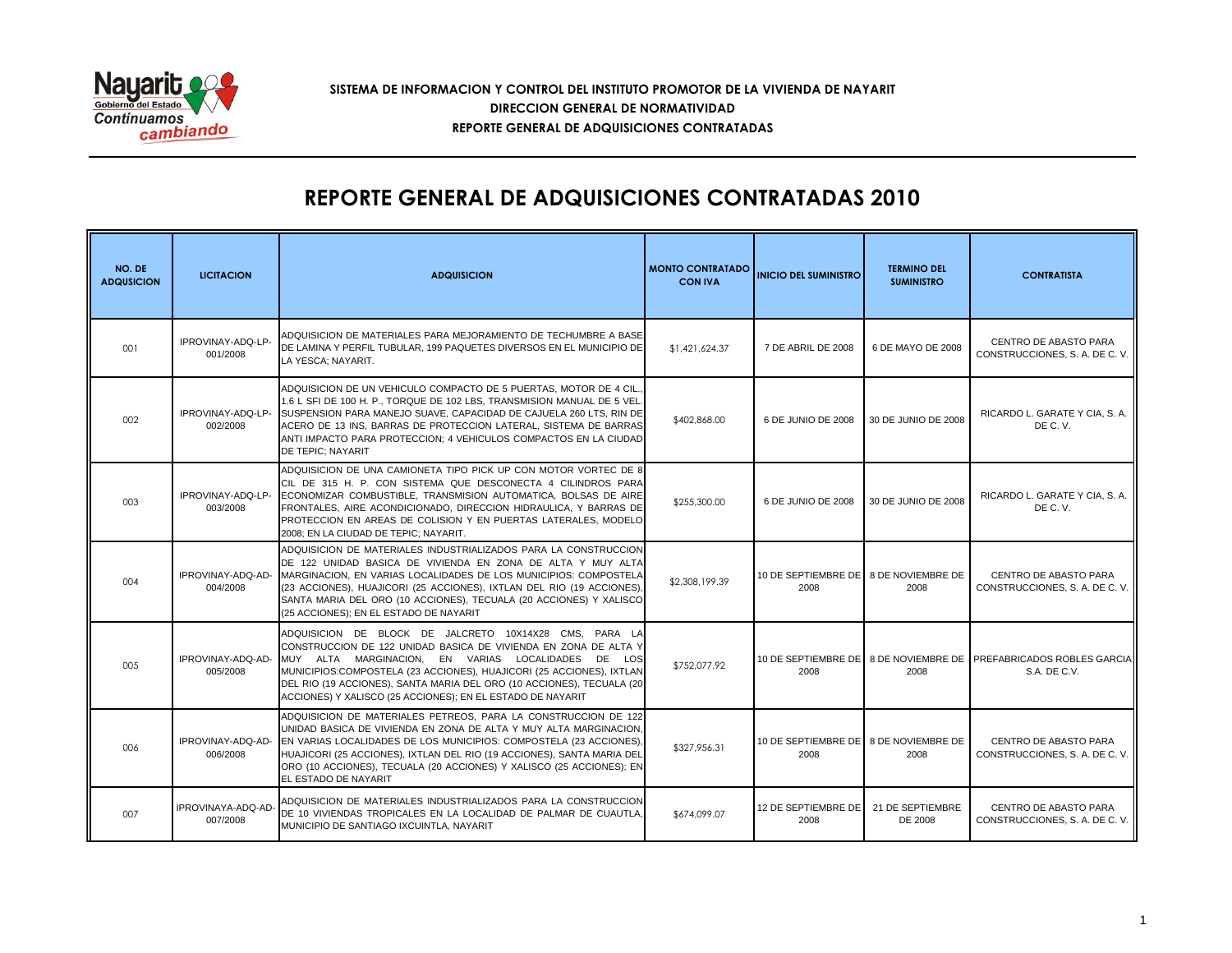

## **SISTEMA DE INFORMACION Y CONTROL DEL INSTITUTO PROMOTOR DE LA VIVIENDA DE NAYARIT REPORTE GENERAL DE ADQUISICIONES CONTRATADAS DIRECCION GENERAL DE NORMATIVIDAD**

## **REPORTE GENERAL DE ADQUISICIONES CONTRATADAS 2010**

| NO. DE<br><b>ADQUSICION</b> | <b>LICITACION</b>             | <b>ADQUISICION</b>                                                                                                                                                                                                                                                                                                                                                                             | <b>MONTO CONTRATADO</b><br><b>CON IVA</b> | <b>INICIO DEL SUMINISTRO</b>                  | <b>TERMINO DEL</b><br><b>SUMINISTRO</b> | <b>CONTRATISTA</b>                                                                |
|-----------------------------|-------------------------------|------------------------------------------------------------------------------------------------------------------------------------------------------------------------------------------------------------------------------------------------------------------------------------------------------------------------------------------------------------------------------------------------|-------------------------------------------|-----------------------------------------------|-----------------------------------------|-----------------------------------------------------------------------------------|
| 001                         | IPROVINAY-ADQ-LP-<br>001/2008 | ADQUISICION DE MATERIALES PARA MEJORAMIENTO DE TECHUMBRE A BASE <br>DE LAMINA Y PERFIL TUBULAR, 199 PAQUETES DIVERSOS EN EL MUNICIPIO DE<br>LA YESCA: NAYARIT.                                                                                                                                                                                                                                 | \$1,421,624.37                            | 7 DE ABRIL DE 2008                            | 6 DE MAYO DE 2008                       | CENTRO DE ABASTO PARA<br>CONSTRUCCIONES, S. A. DE C. V.                           |
| 002                         | IPROVINAY-ADO-LP-<br>002/2008 | ADQUISICION DE UN VEHICULO COMPACTO DE 5 PUERTAS. MOTOR DE 4 CIL.<br>1.6 L SFI DE 100 H. P TORQUE DE 102 LBS. TRANSMISION MANUAL DE 5 VEL.<br>SUSPENSION PARA MANEJO SUAVE, CAPACIDAD DE CAJUELA 260 LTS, RIN DE<br>ACERO DE 13 INS, BARRAS DE PROTECCION LATERAL, SISTEMA DE BARRAS<br>ANTI IMPACTO PARA PROTECCION; 4 VEHICULOS COMPACTOS EN LA CIUDAD<br>DE TEPIC; NAYARIT                  | \$402,868.00                              | 6 DE JUNIO DE 2008                            | 30 DE JUNIO DE 2008                     | RICARDO L. GARATE Y CIA, S. A.<br>DE C.V.                                         |
| 003                         | IPROVINAY-ADQ-LP-<br>003/2008 | ADQUISICION DE UNA CAMIONETA TIPO PICK UP CON MOTOR VORTEC DE 8<br>CIL DE 315 H. P. CON SISTEMA QUE DESCONECTA 4 CILINDROS PARA<br>ECONOMIZAR COMBUSTIBLE, TRANSMISION AUTOMATICA, BOLSAS DE AIRE<br>FRONTALES, AIRE ACONDICIONADO, DIRECCION HIDRAULICA, Y BARRAS DE<br>PROTECCION EN AREAS DE COLISION Y EN PUERTAS LATERALES, MODELO<br>2008; EN LA CIUDAD DE TEPIC; NAYARIT.               | \$255,300.00                              | 6 DE JUNIO DE 2008                            | 30 DE JUNIO DE 2008                     | RICARDO L. GARATE Y CIA, S. A.<br>DE C.V.                                         |
| 004                         | IPROVINAY-ADQ-AD-<br>004/2008 | ADQUISICION DE MATERIALES INDUSTRIALIZADOS PARA LA CONSTRUCCION<br>DE 122 UNIDAD BASICA DE VIVIENDA EN ZONA DE ALTA Y MUY ALTA<br>MARGINACION, EN VARIAS LOCALIDADES DE LOS MUNICIPIOS: COMPOSTELA<br>(23 ACCIONES), HUAJICORI (25 ACCIONES), IXTLAN DEL RIO (19 ACCIONES),<br>SANTA MARIA DEL ORO (10 ACCIONES), TECUALA (20 ACCIONES) Y XALISCO<br>(25 ACCIONES); EN EL ESTADO DE NAYARIT    | \$2,308,199.39                            | 10 DE SEPTIEMBRE DE 8 DE NOVIEMBRE DE<br>2008 | 2008                                    | CENTRO DE ABASTO PARA<br>CONSTRUCCIONES, S. A. DE C. V.                           |
| 005                         | IPROVINAY-ADQ-AD-<br>005/2008 | ADQUISICION DE BLOCK DE JALCRETO 10X14X28 CMS. PARA LA<br>CONSTRUCCION DE 122 UNIDAD BASICA DE VIVIENDA EN ZONA DE ALTA Y<br>MUY ALTA MARGINACION, EN VARIAS LOCALIDADES DE LOS<br>MUNICIPIOS:COMPOSTELA (23 ACCIONES), HUAJICORI (25 ACCIONES), IXTLAN<br>DEL RIO (19 ACCIONES), SANTA MARIA DEL ORO (10 ACCIONES), TECUALA (20<br>ACCIONES) Y XALISCO (25 ACCIONES); EN EL ESTADO DE NAYARIT | \$752,077.92                              | 2008                                          | 2008                                    | 10 DE SEPTIEMBRE DE 8 DE NOVIEMBRE DE PREFABRICADOS ROBLES GARCIA<br>S.A. DE C.V. |
| 006                         | IPROVINAY-ADQ-AD-<br>006/2008 | ADQUISICION DE MATERIALES PETREOS. PARA LA CONSTRUCCION DE 122<br>UNIDAD BASICA DE VIVIENDA EN ZONA DE ALTA Y MUY ALTA MARGINACION,<br>EN VARIAS LOCALIDADES DE LOS MUNICIPIOS: COMPOSTELA (23 ACCIONES),<br>HUAJICORI (25 ACCIONES), IXTLAN DEL RIO (19 ACCIONES), SANTA MARIA DEL<br>ORO (10 ACCIONES), TECUALA (20 ACCIONES) Y XALISCO (25 ACCIONES); EN<br>EL ESTADO DE NAYARIT            | \$327,956.31                              | 10 DE SEPTIEMBRE DE 8 DE NOVIEMBRE DE<br>2008 | 2008                                    | <b>CENTRO DE ABASTO PARA</b><br>CONSTRUCCIONES, S. A. DE C. V.                    |
| 007                         | IPROVINAYA-ADQ-AD<br>007/2008 | ADQUISICION DE MATERIALES INDUSTRIALIZADOS PARA LA CONSTRUCCION<br>DE 10 VIVIENDAS TROPICALES EN LA LOCALIDAD DE PALMAR DE CUAUTLA,<br>MUNICIPIO DE SANTIAGO IXCUINTLA, NAYARIT                                                                                                                                                                                                                | \$674,099.07                              | 12 DE SEPTIEMBRE DE<br>2008                   | 21 DE SEPTIEMBRE<br>DE 2008             | CENTRO DE ABASTO PARA<br>CONSTRUCCIONES, S. A. DE C. V.                           |